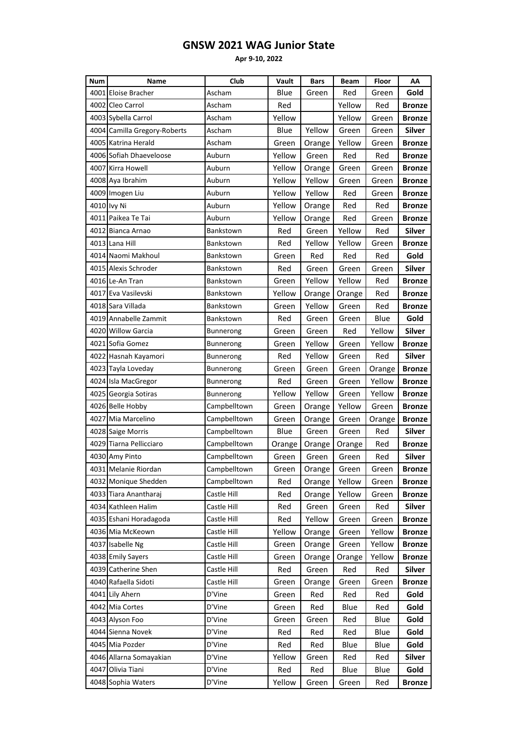## **GNSW 2021 WAG Junior State**

**Apr 9-10, 2022**

| <b>Num</b> | Name                         | Club             | Vault  | Bars   | Beam   | <b>Floor</b> | ΑА            |
|------------|------------------------------|------------------|--------|--------|--------|--------------|---------------|
|            | 4001 Eloise Bracher          | Ascham           | Blue   | Green  | Red    | Green        | Gold          |
|            | 4002 Cleo Carrol             | Ascham           | Red    |        | Yellow | Red          | <b>Bronze</b> |
|            | 4003 Sybella Carrol          | Ascham           | Yellow |        | Yellow | Green        | Bronze        |
|            | 4004 Camilla Gregory-Roberts | Ascham           | Blue   | Yellow | Green  | Green        | <b>Silver</b> |
|            | 4005 Katrina Herald          | Ascham           | Green  | Orange | Yellow | Green        | Bronze        |
|            | 4006 Sofiah Dhaeveloose      | Auburn           | Yellow | Green  | Red    | Red          | Bronze        |
|            | 4007 Kirra Howell            | Auburn           | Yellow | Orange | Green  | Green        | Bronze        |
|            | 4008 Aya Ibrahim             | Auburn           | Yellow | Yellow | Green  | Green        | <b>Bronze</b> |
|            | 4009 Imogen Liu              | Auburn           | Yellow | Yellow | Red    | Green        | <b>Bronze</b> |
|            | 4010 Ivy Ni                  | Auburn           | Yellow | Orange | Red    | Red          | Bronze        |
|            | 4011 Paikea Te Tai           | Auburn           | Yellow | Orange | Red    | Green        | Bronze        |
|            | 4012 Bianca Arnao            | Bankstown        | Red    | Green  | Yellow | Red          | <b>Silver</b> |
|            | 4013 Lana Hill               | Bankstown        | Red    | Yellow | Yellow | Green        | Bronze        |
|            | 4014 Naomi Makhoul           | <b>Bankstown</b> | Green  | Red    | Red    | Red          | Gold          |
|            | 4015 Alexis Schroder         | Bankstown        | Red    | Green  | Green  | Green        | <b>Silver</b> |
|            | 4016 Le-An Tran              | Bankstown        | Green  | Yellow | Yellow | Red          | <b>Bronze</b> |
|            | 4017 Eva Vasilevski          | Bankstown        | Yellow | Orange | Orange | Red          | Bronze        |
|            | 4018 Sara Villada            | Bankstown        | Green  | Yellow | Green  | Red          | Bronze        |
|            | 4019 Annabelle Zammit        | Bankstown        | Red    | Green  | Green  | Blue         | Gold          |
|            | 4020 Willow Garcia           | Bunnerong        | Green  | Green  | Red    | Yellow       | <b>Silver</b> |
|            | 4021 Sofia Gomez             | Bunnerong        | Green  | Yellow | Green  | Yellow       | <b>Bronze</b> |
|            | 4022 Hasnah Kayamori         | Bunnerong        | Red    | Yellow | Green  | Red          | <b>Silver</b> |
|            | 4023 Tayla Loveday           | Bunnerong        | Green  | Green  | Green  | Orange       | <b>Bronze</b> |
|            | 4024 Isla MacGregor          | Bunnerong        | Red    | Green  | Green  | Yellow       | <b>Bronze</b> |
|            | 4025 Georgia Sotiras         | Bunnerong        | Yellow | Yellow | Green  | Yellow       | Bronze        |
|            | 4026 Belle Hobby             | Campbelltown     | Green  | Orange | Yellow | Green        | Bronze        |
|            | 4027 Mia Marcelino           | Campbelltown     | Green  | Orange | Green  | Orange       | Bronze        |
|            | 4028 Saige Morris            | Campbelltown     | Blue   | Green  | Green  | Red          | Silver        |
|            | 4029 Tiarna Pellicciaro      | Campbelltown     | Orange | Orange | Orange | Red          | <b>Bronze</b> |
|            | 4030 Amy Pinto               | Campbelltown     | Green  | Green  | Green  | Red          | Silver        |
|            | 4031 Melanie Riordan         | Campbelltown     | Green  | Orange | Green  | Green        | <b>Bronze</b> |
|            | 4032 Monique Shedden         | Campbelltown     | Red    | Orange | Yellow | Green        | Bronze        |
|            | 4033 Tiara Anantharai        | Castle Hill      | Red    | Orange | Yellow | Green        | <b>Bronze</b> |
|            | 4034 Kathleen Halim          | Castle Hill      | Red    | Green  | Green  | Red          | Silver        |
|            | 4035 Eshani Horadagoda       | Castle Hill      | Red    | Yellow | Green  | Green        | <b>Bronze</b> |
|            | 4036 Mia McKeown             | Castle Hill      | Yellow | Orange | Green  | Yellow       | <b>Bronze</b> |
|            | 4037 Isabelle Ng             | Castle Hill      | Green  | Orange | Green  | Yellow       | <b>Bronze</b> |
|            | 4038 Emily Sayers            | Castle Hill      | Green  | Orange | Orange | Yellow       | <b>Bronze</b> |
|            | 4039 Catherine Shen          | Castle Hill      | Red    | Green  | Red    | Red          | Silver        |
|            | 4040 Rafaella Sidoti         | Castle Hill      | Green  | Orange | Green  | Green        | <b>Bronze</b> |
|            | 4041 Lily Ahern              | D'Vine           | Green  | Red    | Red    | Red          | Gold          |
|            | 4042 Mia Cortes              | D'Vine           | Green  | Red    | Blue   | Red          | Gold          |
|            | 4043 Alyson Foo              | D'Vine           | Green  | Green  | Red    | Blue         | Gold          |
|            | 4044 Sienna Novek            | D'Vine           | Red    | Red    | Red    | Blue         | Gold          |
|            | 4045 Mia Pozder              | D'Vine           | Red    | Red    | Blue   | Blue         | Gold          |
|            | 4046 Allarna Somayakian      | D'Vine           | Yellow | Green  | Red    | Red          | Silver        |
|            | 4047 Olivia Tiani            | D'Vine           | Red    | Red    | Blue   | Blue         | Gold          |
|            | 4048 Sophia Waters           | D'Vine           | Yellow | Green  | Green  | Red          | <b>Bronze</b> |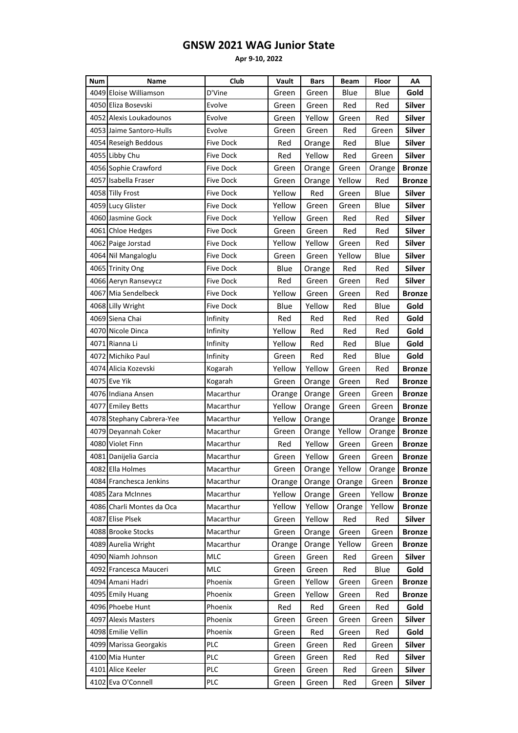## **GNSW 2021 WAG Junior State**

**Apr 9-10, 2022**

| <b>Num</b> | Name                      | Club             | Vault  | <b>Bars</b> | <b>Beam</b> | Floor  | AA            |
|------------|---------------------------|------------------|--------|-------------|-------------|--------|---------------|
|            | 4049 Eloise Williamson    | D'Vine           | Green  | Green       | Blue        | Blue   | Gold          |
|            | 4050 Eliza Bosevski       | Evolve           | Green  | Green       | Red         | Red    | <b>Silver</b> |
|            | 4052 Alexis Loukadounos   | Evolve           | Green  | Yellow      | Green       | Red    | <b>Silver</b> |
|            | 4053 Jaime Santoro-Hulls  | Evolve           | Green  | Green       | Red         | Green  | <b>Silver</b> |
|            | 4054 Reseigh Beddous      | Five Dock        | Red    | Orange      | Red         | Blue   | <b>Silver</b> |
|            | 4055 Libby Chu            | Five Dock        | Red    | Yellow      | Red         | Green  | <b>Silver</b> |
|            | 4056 Sophie Crawford      | Five Dock        | Green  | Orange      | Green       | Orange | <b>Bronze</b> |
|            | 4057 Isabella Fraser      | Five Dock        | Green  | Orange      | Yellow      | Red    | Bronze        |
|            | 4058 Tilly Frost          | Five Dock        | Yellow | Red         | Green       | Blue   | <b>Silver</b> |
|            | 4059 Lucy Glister         | Five Dock        | Yellow | Green       | Green       | Blue   | Silver        |
|            | 4060 Jasmine Gock         | Five Dock        | Yellow | Green       | Red         | Red    | Silver        |
|            | 4061 Chloe Hedges         | Five Dock        | Green  | Green       | Red         | Red    | <b>Silver</b> |
|            | 4062 Paige Jorstad        | Five Dock        | Yellow | Yellow      | Green       | Red    | <b>Silver</b> |
|            | 4064 Nil Mangaloglu       | Five Dock        | Green  | Green       | Yellow      | Blue   | <b>Silver</b> |
|            | 4065 Trinity Ong          | Five Dock        | Blue   | Orange      | Red         | Red    | <b>Silver</b> |
|            | 4066 Aeryn Ransevycz      | Five Dock        | Red    | Green       | Green       | Red    | Silver        |
|            | 4067 Mia Sendelbeck       | <b>Five Dock</b> | Yellow | Green       | Green       | Red    | <b>Bronze</b> |
|            | 4068 Lilly Wright         | Five Dock        | Blue   | Yellow      | Red         | Blue   | Gold          |
|            | 4069 Siena Chai           | Infinity         | Red    | Red         | Red         | Red    | Gold          |
|            | 4070 Nicole Dinca         | Infinity         | Yellow | Red         | Red         | Red    | Gold          |
|            | 4071 Rianna Li            | Infinity         | Yellow | Red         | Red         | Blue   | Gold          |
|            | 4072 Michiko Paul         | Infinity         | Green  | Red         | Red         | Blue   | Gold          |
|            | 4074 Alicia Kozevski      | Kogarah          | Yellow | Yellow      | Green       | Red    | Bronze        |
|            | 4075 Eve Yik              | Kogarah          | Green  | Orange      | Green       | Red    | <b>Bronze</b> |
|            | 4076 Indiana Ansen        | Macarthur        | Orange | Orange      | Green       | Green  | <b>Bronze</b> |
|            | 4077 Emiley Betts         | Macarthur        | Yellow | Orange      | Green       | Green  | Bronze        |
|            | 4078 Stephany Cabrera-Yee | Macarthur        | Yellow | Orange      |             | Orange | <b>Bronze</b> |
|            | 4079 Deyannah Coker       | Macarthur        | Green  | Orange      | Yellow      | Orange | <b>Bronze</b> |
|            | 4080 Violet Finn          | Macarthur        | Red    | Yellow      | Green       | Green  | <b>Bronze</b> |
|            | 4081 Danijelia Garcia     | Macarthur        | Green  | Yellow      | Green       | Green  | <b>Bronze</b> |
|            | 4082 Ella Holmes          | Macarthur        | Green  | Orange      | Yellow      | Orange | <b>Bronze</b> |
|            | 4084 Franchesca Jenkins   | Macarthur        | Orange | Orange      | Orange      | Green  | <b>Bronze</b> |
|            | 4085 Zara McInnes         | Macarthur        | Yellow | Orange      | Green       | Yellow | <b>Bronze</b> |
|            | 4086 Charli Montes da Oca | Macarthur        | Yellow | Yellow      | Orange      | Yellow | <b>Bronze</b> |
|            | 4087 Elise Plsek          | Macarthur        | Green  | Yellow      | Red         | Red    | <b>Silver</b> |
|            | 4088 Brooke Stocks        | Macarthur        | Green  | Orange      | Green       | Green  | <b>Bronze</b> |
|            | 4089 Aurelia Wright       | Macarthur        | Orange | Orange      | Yellow      | Green  | <b>Bronze</b> |
|            | 4090 Niamh Johnson        | MLC              | Green  | Green       | Red         | Green  | <b>Silver</b> |
|            | 4092 Francesca Mauceri    | MLC              | Green  | Green       | Red         | Blue   | Gold          |
|            | 4094 Amani Hadri          | Phoenix          | Green  | Yellow      | Green       | Green  | <b>Bronze</b> |
|            | 4095 Emily Huang          | Phoenix          | Green  | Yellow      | Green       | Red    | <b>Bronze</b> |
|            | 4096 Phoebe Hunt          | Phoenix          | Red    | Red         | Green       | Red    | Gold          |
|            | 4097 Alexis Masters       | Phoenix          | Green  | Green       | Green       | Green  | <b>Silver</b> |
|            | 4098 Emilie Vellin        | Phoenix          | Green  | Red         | Green       | Red    | Gold          |
|            | 4099 Marissa Georgakis    | PLC              | Green  | Green       | Red         | Green  | <b>Silver</b> |
|            | 4100 Mia Hunter           | PLC              | Green  | Green       | Red         | Red    | <b>Silver</b> |
|            | 4101 Alice Keeler         | <b>PLC</b>       | Green  | Green       | Red         | Green  | Silver        |
|            | 4102 Eva O'Connell        | PLC              | Green  | Green       | Red         | Green  | <b>Silver</b> |